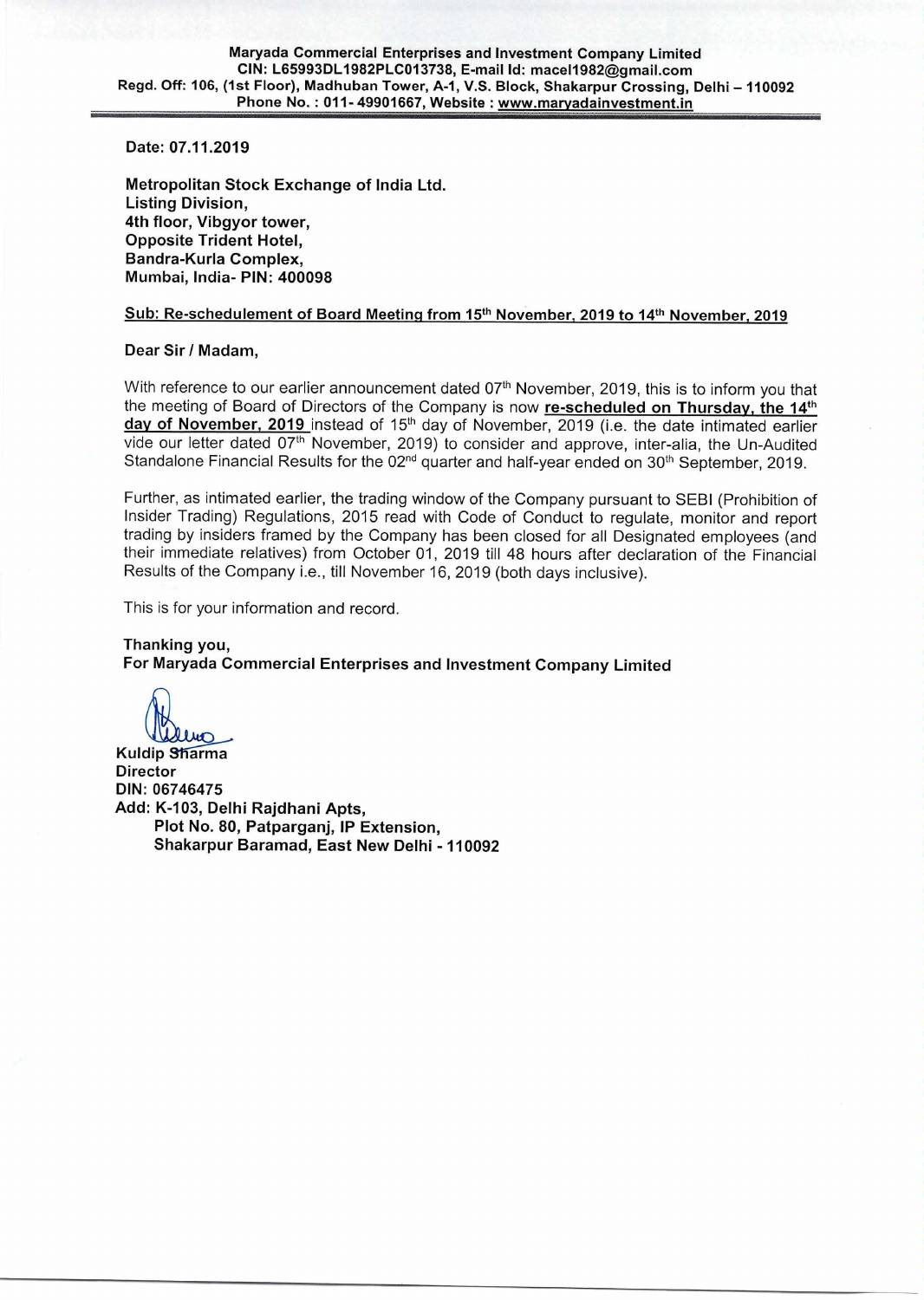**Date: 07.11.2019** 

**Metropolitan Stock Exchange of India Ltd. Listing Division, 4th floor, Vibgyor tower, Opposite Trident Hotel, Bandra-Kurla Complex, Mumbai, India- PIN: 400098** 

## **Sub: Re-schedulement of Board Meeting from 15th November, 2019 to 14th November, 2019**

### **Dear Sir / Madam,**

With reference to our earlier announcement dated  $07<sup>th</sup>$  November, 2019, this is to inform you that the meeting of Board of Directors of the Company is now **re-scheduled on Thursday, the 14th**  day of November, 2019 instead of 15<sup>th</sup> day of November, 2019 (i.e. the date intimated earlier vide our letter dated 07<sup>th</sup> November, 2019) to consider and approve, inter-alia, the Un-Audited Standalone Financial Results for the 02<sup>nd</sup> quarter and half-year ended on 30<sup>th</sup> September, 2019.

Further, as intimated earlier, the trading window of the Company pursuant to SEBI (Prohibition of Insider Trading) Regulations, 2015 read with Code of Conduct to regulate, monitor and report trading by insiders framed by the Company has been closed for all Designated employees (and their immediate relatives) from October 01, 2019 till 48 hours after declaration of the Financial Results of the Company i.e., till November 16, 2019 (both days inclusive).

This is for your information and record.

### **Thanking you,**

**For Maryada Commercial Enterprises and Investment Company Limited** 

**Kuldip Sharma Director DIN: 06746475 Add: K-103, Delhi Rajdhani Apts, Plot No. 80, Patparganj, IP Extension, Shakarpur Baramad, East New Delhi - 110092**